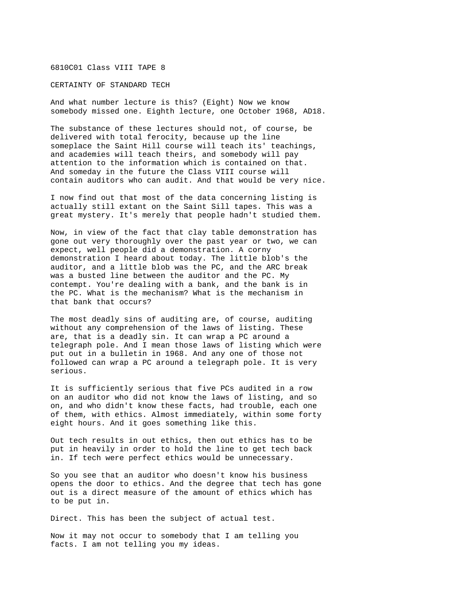## 6810C01 Class VIII TAPE 8

## CERTAINTY OF STANDARD TECH

And what number lecture is this? (Eight) Now we know somebody missed one. Eighth lecture, one October 1968, AD18.

The substance of these lectures should not, of course, be delivered with total ferocity, because up the line someplace the Saint Hill course will teach its' teachings, and academies will teach theirs, and somebody will pay attention to the information which is contained on that. And someday in the future the Class VIII course will contain auditors who can audit. And that would be very nice.

I now find out that most of the data concerning listing is actually still extant on the Saint Sill tapes. This was a great mystery. It's merely that people hadn't studied them.

Now, in view of the fact that clay table demonstration has gone out very thoroughly over the past year or two, we can expect, well people did a demonstration. A corny demonstration I heard about today. The little blob's the auditor, and a little blob was the PC, and the ARC break was a busted line between the auditor and the PC. My contempt. You're dealing with a bank, and the bank is in the PC. What is the mechanism? What is the mechanism in that bank that occurs?

The most deadly sins of auditing are, of course, auditing without any comprehension of the laws of listing. These are, that is a deadly sin. It can wrap a PC around a telegraph pole. And I mean those laws of listing which were put out in a bulletin in 1968. And any one of those not followed can wrap a PC around a telegraph pole. It is very serious.

It is sufficiently serious that five PCs audited in a row on an auditor who did not know the laws of listing, and so on, and who didn't know these facts, had trouble, each one of them, with ethics. Almost immediately, within some forty eight hours. And it goes something like this.

Out tech results in out ethics, then out ethics has to be put in heavily in order to hold the line to get tech back in. If tech were perfect ethics would be unnecessary.

So you see that an auditor who doesn't know his business opens the door to ethics. And the degree that tech has gone out is a direct measure of the amount of ethics which has to be put in.

Direct. This has been the subject of actual test.

Now it may not occur to somebody that I am telling you facts. I am not telling you my ideas.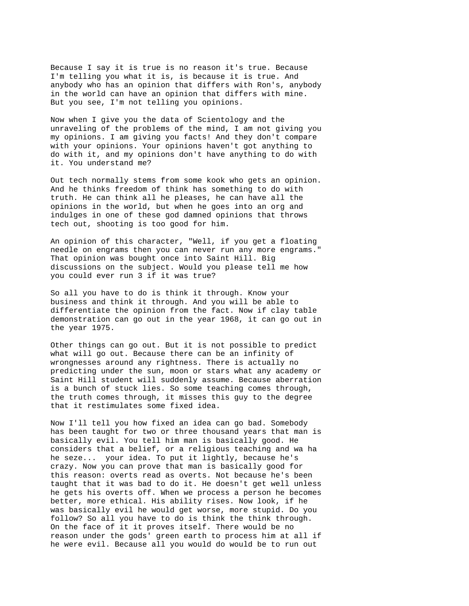Because I say it is true is no reason it's true. Because I'm telling you what it is, is because it is true. And anybody who has an opinion that differs with Ron's, anybody in the world can have an opinion that differs with mine. But you see, I'm not telling you opinions.

Now when I give you the data of Scientology and the unraveling of the problems of the mind, I am not giving you my opinions. I am giving you facts! And they don't compare with your opinions. Your opinions haven't got anything to do with it, and my opinions don't have anything to do with it. You understand me?

Out tech normally stems from some kook who gets an opinion. And he thinks freedom of think has something to do with truth. He can think all he pleases, he can have all the opinions in the world, but when he goes into an org and indulges in one of these god damned opinions that throws tech out, shooting is too good for him.

An opinion of this character, "Well, if you get a floating needle on engrams then you can never run any more engrams." That opinion was bought once into Saint Hill. Big discussions on the subject. Would you please tell me how you could ever run 3 if it was true?

So all you have to do is think it through. Know your business and think it through. And you will be able to differentiate the opinion from the fact. Now if clay table demonstration can go out in the year 1968, it can go out in the year 1975.

Other things can go out. But it is not possible to predict what will go out. Because there can be an infinity of wrongnesses around any rightness. There is actually no predicting under the sun, moon or stars what any academy or Saint Hill student will suddenly assume. Because aberration is a bunch of stuck lies. So some teaching comes through, the truth comes through, it misses this guy to the degree that it restimulates some fixed idea.

Now I'll tell you how fixed an idea can go bad. Somebody has been taught for two or three thousand years that man is basically evil. You tell him man is basically good. He considers that a belief, or a religious teaching and wa ha he seze... your idea. To put it lightly, because he's crazy. Now you can prove that man is basically good for this reason: overts read as overts. Not because he's been taught that it was bad to do it. He doesn't get well unless he gets his overts off. When we process a person he becomes better, more ethical. His ability rises. Now look, if he was basically evil he would get worse, more stupid. Do you follow? So all you have to do is think the think through. On the face of it it proves itself. There would be no reason under the gods' green earth to process him at all if he were evil. Because all you would do would be to run out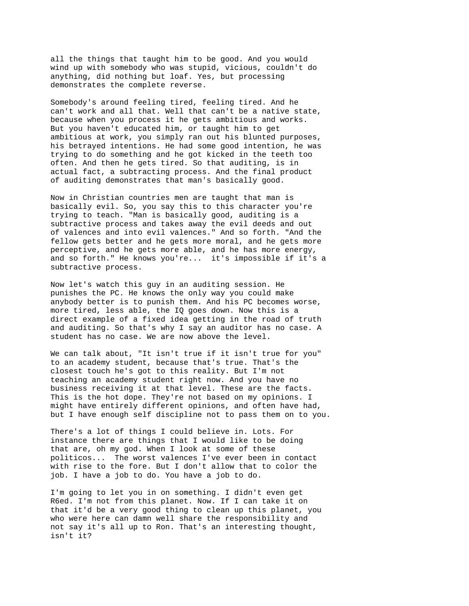all the things that taught him to be good. And you would wind up with somebody who was stupid, vicious, couldn't do anything, did nothing but loaf. Yes, but processing demonstrates the complete reverse.

Somebody's around feeling tired, feeling tired. And he can't work and all that. Well that can't be a native state, because when you process it he gets ambitious and works. But you haven't educated him, or taught him to get ambitious at work, you simply ran out his blunted purposes, his betrayed intentions. He had some good intention, he was trying to do something and he got kicked in the teeth too often. And then he gets tired. So that auditing, is in actual fact, a subtracting process. And the final product of auditing demonstrates that man's basically good.

Now in Christian countries men are taught that man is basically evil. So, you say this to this character you're trying to teach. "Man is basically good, auditing is a subtractive process and takes away the evil deeds and out of valences and into evil valences." And so forth. "And the fellow gets better and he gets more moral, and he gets more perceptive, and he gets more able, and he has more energy, and so forth." He knows you're... it's impossible if it's a subtractive process.

Now let's watch this guy in an auditing session. He punishes the PC. He knows the only way you could make anybody better is to punish them. And his PC becomes worse, more tired, less able, the IQ goes down. Now this is a direct example of a fixed idea getting in the road of truth and auditing. So that's why I say an auditor has no case. A student has no case. We are now above the level.

We can talk about, "It isn't true if it isn't true for you" to an academy student, because that's true. That's the closest touch he's got to this reality. But I'm not teaching an academy student right now. And you have no business receiving it at that level. These are the facts. This is the hot dope. They're not based on my opinions. I might have entirely different opinions, and often have had, but I have enough self discipline not to pass them on to you.

There's a lot of things I could believe in. Lots. For instance there are things that I would like to be doing that are, oh my god. When I look at some of these politicos... The worst valences I've ever been in contact with rise to the fore. But I don't allow that to color the job. I have a job to do. You have a job to do.

I'm going to let you in on something. I didn't even get R6ed. I'm not from this planet. Now. If I can take it on that it'd be a very good thing to clean up this planet, you who were here can damn well share the responsibility and not say it's all up to Ron. That's an interesting thought, isn't it?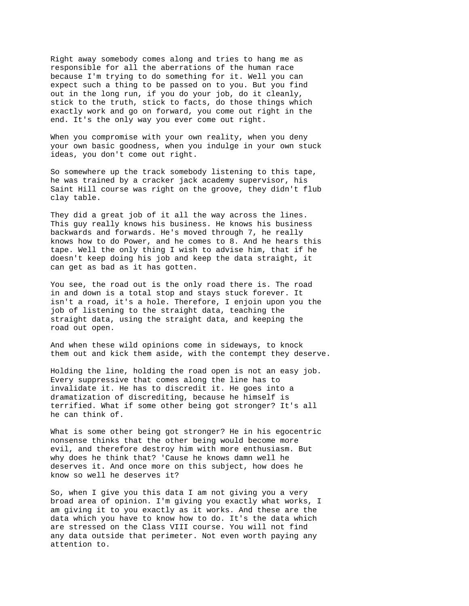Right away somebody comes along and tries to hang me as responsible for all the aberrations of the human race because I'm trying to do something for it. Well you can expect such a thing to be passed on to you. But you find out in the long run, if you do your job, do it cleanly, stick to the truth, stick to facts, do those things which exactly work and go on forward, you come out right in the end. It's the only way you ever come out right.

When you compromise with your own reality, when you deny your own basic goodness, when you indulge in your own stuck ideas, you don't come out right.

So somewhere up the track somebody listening to this tape, he was trained by a cracker jack academy supervisor, his Saint Hill course was right on the groove, they didn't flub clay table.

They did a great job of it all the way across the lines. This guy really knows his business. He knows his business backwards and forwards. He's moved through 7, he really knows how to do Power, and he comes to 8. And he hears this tape. Well the only thing I wish to advise him, that if he doesn't keep doing his job and keep the data straight, it can get as bad as it has gotten.

You see, the road out is the only road there is. The road in and down is a total stop and stays stuck forever. It isn't a road, it's a hole. Therefore, I enjoin upon you the job of listening to the straight data, teaching the straight data, using the straight data, and keeping the road out open.

And when these wild opinions come in sideways, to knock them out and kick them aside, with the contempt they deserve.

Holding the line, holding the road open is not an easy job. Every suppressive that comes along the line has to invalidate it. He has to discredit it. He goes into a dramatization of discrediting, because he himself is terrified. What if some other being got stronger? It's all he can think of.

What is some other being got stronger? He in his egocentric nonsense thinks that the other being would become more evil, and therefore destroy him with more enthusiasm. But why does he think that? 'Cause he knows damn well he deserves it. And once more on this subject, how does he know so well he deserves it?

So, when I give you this data I am not giving you a very broad area of opinion. I'm giving you exactly what works, I am giving it to you exactly as it works. And these are the data which you have to know how to do. It's the data which are stressed on the Class VIII course. You will not find any data outside that perimeter. Not even worth paying any attention to.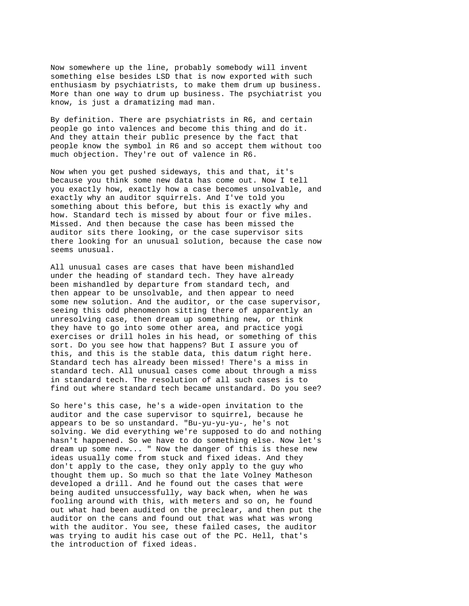Now somewhere up the line, probably somebody will invent something else besides LSD that is now exported with such enthusiasm by psychiatrists, to make them drum up business. More than one way to drum up business. The psychiatrist you know, is just a dramatizing mad man.

By definition. There are psychiatrists in R6, and certain people go into valences and become this thing and do it. And they attain their public presence by the fact that people know the symbol in R6 and so accept them without too much objection. They're out of valence in R6.

Now when you get pushed sideways, this and that, it's because you think some new data has come out. Now I tell you exactly how, exactly how a case becomes unsolvable, and exactly why an auditor squirrels. And I've told you something about this before, but this is exactly why and how. Standard tech is missed by about four or five miles. Missed. And then because the case has been missed the auditor sits there looking, or the case supervisor sits there looking for an unusual solution, because the case now seems unusual.

All unusual cases are cases that have been mishandled under the heading of standard tech. They have already been mishandled by departure from standard tech, and then appear to be unsolvable, and then appear to need some new solution. And the auditor, or the case supervisor, seeing this odd phenomenon sitting there of apparently an unresolving case, then dream up something new, or think they have to go into some other area, and practice yogi exercises or drill holes in his head, or something of this sort. Do you see how that happens? But I assure you of this, and this is the stable data, this datum right here. Standard tech has already been missed! There's a miss in standard tech. All unusual cases come about through a miss in standard tech. The resolution of all such cases is to find out where standard tech became unstandard. Do you see?

So here's this case, he's a wide-open invitation to the auditor and the case supervisor to squirrel, because he appears to be so unstandard. "Bu-yu-yu-yu-, he's not solving. We did everything we're supposed to do and nothing hasn't happened. So we have to do something else. Now let's dream up some new... " Now the danger of this is these new ideas usually come from stuck and fixed ideas. And they don't apply to the case, they only apply to the guy who thought them up. So much so that the late Volney Matheson developed a drill. And he found out the cases that were being audited unsuccessfully, way back when, when he was fooling around with this, with meters and so on, he found out what had been audited on the preclear, and then put the auditor on the cans and found out that was what was wrong with the auditor. You see, these failed cases, the auditor was trying to audit his case out of the PC. Hell, that's the introduction of fixed ideas.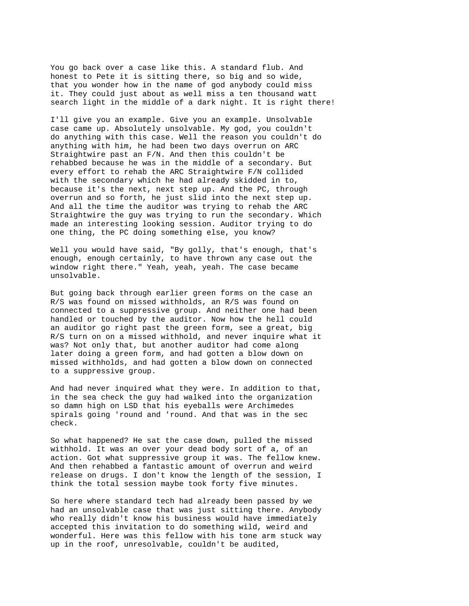You go back over a case like this. A standard flub. And honest to Pete it is sitting there, so big and so wide, that you wonder how in the name of god anybody could miss it. They could just about as well miss a ten thousand watt search light in the middle of a dark night. It is right there!

I'll give you an example. Give you an example. Unsolvable case came up. Absolutely unsolvable. My god, you couldn't do anything with this case. Well the reason you couldn't do anything with him, he had been two days overrun on ARC Straightwire past an F/N. And then this couldn't be rehabbed because he was in the middle of a secondary. But every effort to rehab the ARC Straightwire F/N collided with the secondary which he had already skidded in to, because it's the next, next step up. And the PC, through overrun and so forth, he just slid into the next step up. And all the time the auditor was trying to rehab the ARC Straightwire the guy was trying to run the secondary. Which made an interesting looking session. Auditor trying to do one thing, the PC doing something else, you know?

Well you would have said, "By golly, that's enough, that's enough, enough certainly, to have thrown any case out the window right there." Yeah, yeah, yeah. The case became unsolvable.

But going back through earlier green forms on the case an R/S was found on missed withholds, an R/S was found on connected to a suppressive group. And neither one had been handled or touched by the auditor. Now how the hell could an auditor go right past the green form, see a great, big R/S turn on on a missed withhold, and never inquire what it was? Not only that, but another auditor had come along later doing a green form, and had gotten a blow down on missed withholds, and had gotten a blow down on connected to a suppressive group.

And had never inquired what they were. In addition to that, in the sea check the guy had walked into the organization so damn high on LSD that his eyeballs were Archimedes spirals going 'round and 'round. And that was in the sec check.

So what happened? He sat the case down, pulled the missed withhold. It was an over your dead body sort of a, of an action. Got what suppressive group it was. The fellow knew. And then rehabbed a fantastic amount of overrun and weird release on drugs. I don't know the length of the session, I think the total session maybe took forty five minutes.

So here where standard tech had already been passed by we had an unsolvable case that was just sitting there. Anybody who really didn't know his business would have immediately accepted this invitation to do something wild, weird and wonderful. Here was this fellow with his tone arm stuck way up in the roof, unresolvable, couldn't be audited,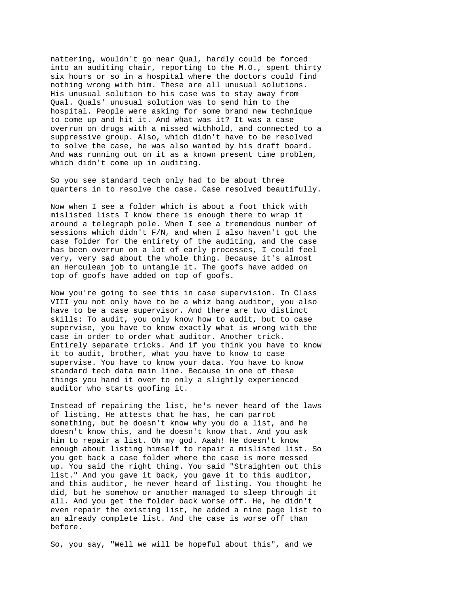nattering, wouldn't go near Qual, hardly could be forced into an auditing chair, reporting to the M.O., spent thirty six hours or so in a hospital where the doctors could find nothing wrong with him. These are all unusual solutions. His unusual solution to his case was to stay away from Qual. Quals' unusual solution was to send him to the hospital. People were asking for some brand new technique to come up and hit it. And what was it? It was a case overrun on drugs with a missed withhold, and connected to a suppressive group. Also, which didn't have to be resolved to solve the case, he was also wanted by his draft board. And was running out on it as a known present time problem, which didn't come up in auditing.

So you see standard tech only had to be about three quarters in to resolve the case. Case resolved beautifully.

Now when I see a folder which is about a foot thick with mislisted lists I know there is enough there to wrap it around a telegraph pole. When I see a tremendous number of sessions which didn't F/N, and when I also haven't got the case folder for the entirety of the auditing, and the case has been overrun on a lot of early processes, I could feel very, very sad about the whole thing. Because it's almost an Herculean job to untangle it. The goofs have added on top of goofs have added on top of goofs.

Now you're going to see this in case supervision. In Class VIII you not only have to be a whiz bang auditor, you also have to be a case supervisor. And there are two distinct skills: To audit, you only know how to audit, but to case supervise, you have to know exactly what is wrong with the case in order to order what auditor. Another trick. Entirely separate tricks. And if you think you have to know it to audit, brother, what you have to know to case supervise. You have to know your data. You have to know standard tech data main line. Because in one of these things you hand it over to only a slightly experienced auditor who starts goofing it.

Instead of repairing the list, he's never heard of the laws of listing. He attests that he has, he can parrot something, but he doesn't know why you do a list, and he doesn't know this, and he doesn't know that. And you ask him to repair a list. Oh my god. Aaah! He doesn't know enough about listing himself to repair a mislisted list. So you get back a case folder where the case is more messed up. You said the right thing. You said "Straighten out this list." And you gave it back, you gave it to this auditor, and this auditor, he never heard of listing. You thought he did, but he somehow or another managed to sleep through it all. And you get the folder back worse off. He, he didn't even repair the existing list, he added a nine page list to an already complete list. And the case is worse off than before.

So, you say, "Well we will be hopeful about this", and we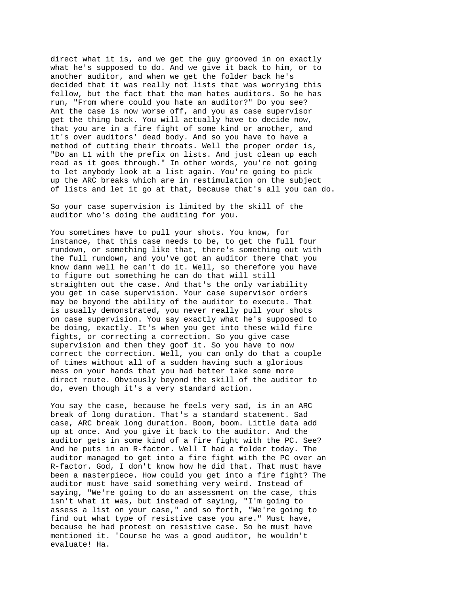direct what it is, and we get the guy grooved in on exactly what he's supposed to do. And we give it back to him, or to another auditor, and when we get the folder back he's decided that it was really not lists that was worrying this fellow, but the fact that the man hates auditors. So he has run, "From where could you hate an auditor?" Do you see? Ant the case is now worse off, and you as case supervisor get the thing back. You will actually have to decide now, that you are in a fire fight of some kind or another, and it's over auditors' dead body. And so you have to have a method of cutting their throats. Well the proper order is, "Do an L1 with the prefix on lists. And just clean up each read as it goes through." In other words, you're not going to let anybody look at a list again. You're going to pick up the ARC breaks which are in restimulation on the subject of lists and let it go at that, because that's all you can do.

So your case supervision is limited by the skill of the auditor who's doing the auditing for you.

You sometimes have to pull your shots. You know, for instance, that this case needs to be, to get the full four rundown, or something like that, there's something out with the full rundown, and you've got an auditor there that you know damn well he can't do it. Well, so therefore you have to figure out something he can do that will still straighten out the case. And that's the only variability you get in case supervision. Your case supervisor orders may be beyond the ability of the auditor to execute. That is usually demonstrated, you never really pull your shots on case supervision. You say exactly what he's supposed to be doing, exactly. It's when you get into these wild fire fights, or correcting a correction. So you give case supervision and then they goof it. So you have to now correct the correction. Well, you can only do that a couple of times without all of a sudden having such a glorious mess on your hands that you had better take some more direct route. Obviously beyond the skill of the auditor to do, even though it's a very standard action.

You say the case, because he feels very sad, is in an ARC break of long duration. That's a standard statement. Sad case, ARC break long duration. Boom, boom. Little data add up at once. And you give it back to the auditor. And the auditor gets in some kind of a fire fight with the PC. See? And he puts in an R-factor. Well I had a folder today. The auditor managed to get into a fire fight with the PC over an R-factor. God, I don't know how he did that. That must have been a masterpiece. How could you get into a fire fight? The auditor must have said something very weird. Instead of saying, "We're going to do an assessment on the case, this isn't what it was, but instead of saying, "I'm going to assess a list on your case," and so forth, "We're going to find out what type of resistive case you are." Must have, because he had protest on resistive case. So he must have mentioned it. 'Course he was a good auditor, he wouldn't evaluate! Ha.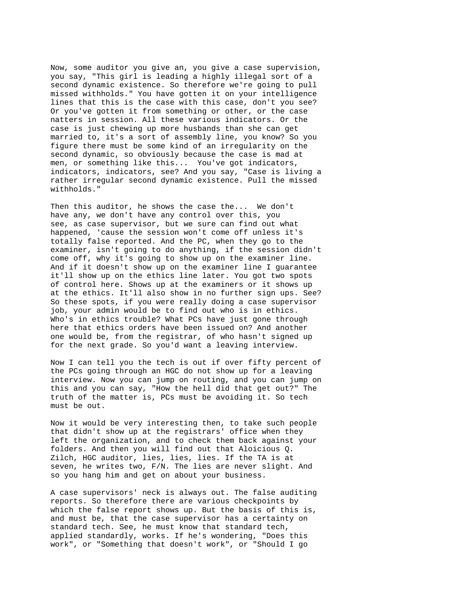Now, some auditor you give an, you give a case supervision, you say, "This girl is leading a highly illegal sort of a second dynamic existence. So therefore we're going to pull missed withholds." You have gotten it on your intelligence lines that this is the case with this case, don't you see? Or you've gotten it from something or other, or the case natters in session. All these various indicators. Or the case is just chewing up more husbands than she can get married to, it's a sort of assembly line, you know? So you figure there must be some kind of an irregularity on the second dynamic, so obviously because the case is mad at men, or something like this... You've got indicators, indicators, indicators, see? And you say, "Case is living a rather irregular second dynamic existence. Pull the missed withholds."

Then this auditor, he shows the case the... We don't have any, we don't have any control over this, you see, as case supervisor, but we sure can find out what happened, 'cause the session won't come off unless it's totally false reported. And the PC, when they go to the examiner, isn't going to do anything, if the session didn't come off, why it's going to show up on the examiner line. And if it doesn't show up on the examiner line I guarantee it'll show up on the ethics line later. You got two spots of control here. Shows up at the examiners or it shows up at the ethics. It'll also show in no further sign ups. See? So these spots, if you were really doing a case supervisor job, your admin would be to find out who is in ethics. Who's in ethics trouble? What PCs have just gone through here that ethics orders have been issued on? And another one would be, from the registrar, of who hasn't signed up for the next grade. So you'd want a leaving interview.

Now I can tell you the tech is out if over fifty percent of the PCs going through an HGC do not show up for a leaving interview. Now you can jump on routing, and you can jump on this and you can say, "How the hell did that get out?" The truth of the matter is, PCs must be avoiding it. So tech must be out.

Now it would be very interesting then, to take such people that didn't show up at the registrars' office when they left the organization, and to check them back against your folders. And then you will find out that Aloicious Q. Zilch, HGC auditor, lies, lies, lies. If the TA is at seven, he writes two, F/N. The lies are never slight. And so you hang him and get on about your business.

A case supervisors' neck is always out. The false auditing reports. So therefore there are various checkpoints by which the false report shows up. But the basis of this is, and must be, that the case supervisor has a certainty on standard tech. See, he must know that standard tech, applied standardly, works. If he's wondering, "Does this work", or "Something that doesn't work", or "Should I go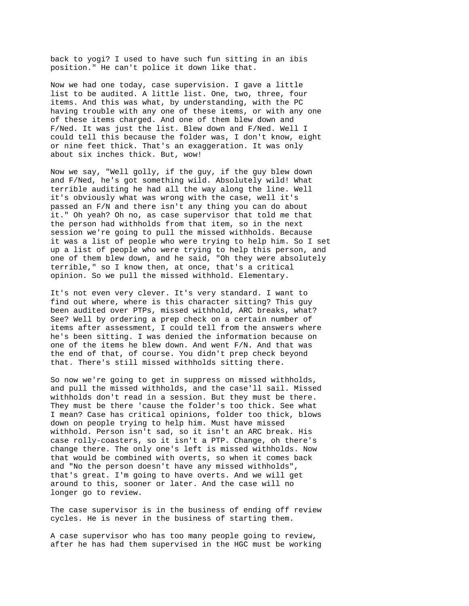back to yogi? I used to have such fun sitting in an ibis position." He can't police it down like that.

Now we had one today, case supervision. I gave a little list to be audited. A little list. One, two, three, four items. And this was what, by understanding, with the PC having trouble with any one of these items, or with any one of these items charged. And one of them blew down and F/Ned. It was just the list. Blew down and F/Ned. Well I could tell this because the folder was, I don't know, eight or nine feet thick. That's an exaggeration. It was only about six inches thick. But, wow!

Now we say, "Well golly, if the guy, if the guy blew down and F/Ned, he's got something wild. Absolutely wild! What terrible auditing he had all the way along the line. Well it's obviously what was wrong with the case, well it's passed an F/N and there isn't any thing you can do about it." Oh yeah? Oh no, as case supervisor that told me that the person had withholds from that item, so in the next session we're going to pull the missed withholds. Because it was a list of people who were trying to help him. So I set up a list of people who were trying to help this person, and one of them blew down, and he said, "Oh they were absolutely terrible," so I know then, at once, that's a critical opinion. So we pull the missed withhold. Elementary.

It's not even very clever. It's very standard. I want to find out where, where is this character sitting? This guy been audited over PTPs, missed withhold, ARC breaks, what? See? Well by ordering a prep check on a certain number of items after assessment, I could tell from the answers where he's been sitting. I was denied the information because on one of the items he blew down. And went F/N. And that was the end of that, of course. You didn't prep check beyond that. There's still missed withholds sitting there.

So now we're going to get in suppress on missed withholds, and pull the missed withholds, and the case'll sail. Missed withholds don't read in a session. But they must be there. They must be there 'cause the folder's too thick. See what I mean? Case has critical opinions, folder too thick, blows down on people trying to help him. Must have missed withhold. Person isn't sad, so it isn't an ARC break. His case rolly-coasters, so it isn't a PTP. Change, oh there's change there. The only one's left is missed withholds. Now that would be combined with overts, so when it comes back and "No the person doesn't have any missed withholds", that's great. I'm going to have overts. And we will get around to this, sooner or later. And the case will no longer go to review.

The case supervisor is in the business of ending off review cycles. He is never in the business of starting them.

A case supervisor who has too many people going to review, after he has had them supervised in the HGC must be working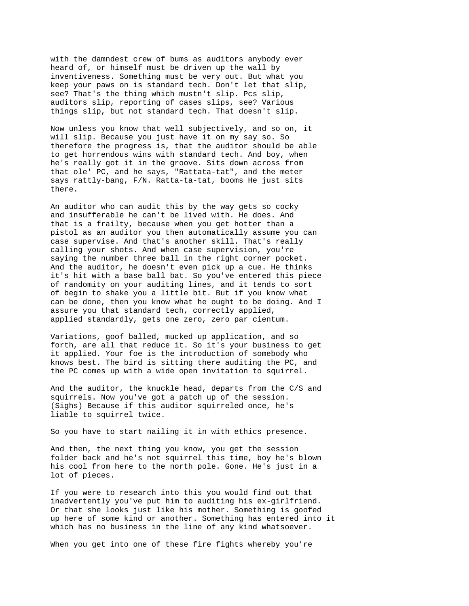with the damndest crew of bums as auditors anybody ever heard of, or himself must be driven up the wall by inventiveness. Something must be very out. But what you keep your paws on is standard tech. Don't let that slip, see? That's the thing which mustn't slip. Pcs slip, auditors slip, reporting of cases slips, see? Various things slip, but not standard tech. That doesn't slip.

Now unless you know that well subjectively, and so on, it will slip. Because you just have it on my say so. So therefore the progress is, that the auditor should be able to get horrendous wins with standard tech. And boy, when he's really got it in the groove. Sits down across from that ole' PC, and he says, "Rattata-tat", and the meter says rattly-bang, F/N. Ratta-ta-tat, booms He just sits there.

An auditor who can audit this by the way gets so cocky and insufferable he can't be lived with. He does. And that is a frailty, because when you get hotter than a pistol as an auditor you then automatically assume you can case supervise. And that's another skill. That's really calling your shots. And when case supervision, you're saying the number three ball in the right corner pocket. And the auditor, he doesn't even pick up a cue. He thinks it's hit with a base ball bat. So you've entered this piece of randomity on your auditing lines, and it tends to sort of begin to shake you a little bit. But if you know what can be done, then you know what he ought to be doing. And I assure you that standard tech, correctly applied, applied standardly, gets one zero, zero par cientum.

Variations, goof balled, mucked up application, and so forth, are all that reduce it. So it's your business to get it applied. Your foe is the introduction of somebody who knows best. The bird is sitting there auditing the PC, and the PC comes up with a wide open invitation to squirrel.

And the auditor, the knuckle head, departs from the C/S and squirrels. Now you've got a patch up of the session. (Sighs) Because if this auditor squirreled once, he's liable to squirrel twice.

So you have to start nailing it in with ethics presence.

And then, the next thing you know, you get the session folder back and he's not squirrel this time, boy he's blown his cool from here to the north pole. Gone. He's just in a lot of pieces.

If you were to research into this you would find out that inadvertently you've put him to auditing his ex-girlfriend. Or that she looks just like his mother. Something is goofed up here of some kind or another. Something has entered into it which has no business in the line of any kind whatsoever.

When you get into one of these fire fights whereby you're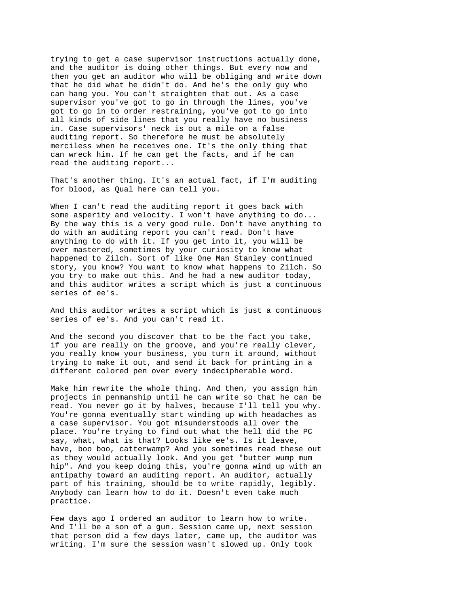trying to get a case supervisor instructions actually done, and the auditor is doing other things. But every now and then you get an auditor who will be obliging and write down that he did what he didn't do. And he's the only guy who can hang you. You can't straighten that out. As a case supervisor you've got to go in through the lines, you've got to go in to order restraining, you've got to go into all kinds of side lines that you really have no business in. Case supervisors' neck is out a mile on a false auditing report. So therefore he must be absolutely merciless when he receives one. It's the only thing that can wreck him. If he can get the facts, and if he can read the auditing report...

That's another thing. It's an actual fact, if I'm auditing for blood, as Qual here can tell you.

When I can't read the auditing report it goes back with some asperity and velocity. I won't have anything to do... By the way this is a very good rule. Don't have anything to do with an auditing report you can't read. Don't have anything to do with it. If you get into it, you will be over mastered, sometimes by your curiosity to know what happened to Zilch. Sort of like One Man Stanley continued story, you know? You want to know what happens to Zilch. So you try to make out this. And he had a new auditor today, and this auditor writes a script which is just a continuous series of ee's.

And this auditor writes a script which is just a continuous series of ee's. And you can't read it.

And the second you discover that to be the fact you take, if you are really on the groove, and you're really clever, you really know your business, you turn it around, without trying to make it out, and send it back for printing in a different colored pen over every indecipherable word.

Make him rewrite the whole thing. And then, you assign him projects in penmanship until he can write so that he can be read. You never go it by halves, because I'll tell you why. You're gonna eventually start winding up with headaches as a case supervisor. You got misunderstoods all over the place. You're trying to find out what the hell did the PC say, what, what is that? Looks like ee's. Is it leave, have, boo boo, catterwamp? And you sometimes read these out as they would actually look. And you get "butter wump mum hip". And you keep doing this, you're gonna wind up with an antipathy toward an auditing report. An auditor, actually part of his training, should be to write rapidly, legibly. Anybody can learn how to do it. Doesn't even take much practice.

Few days ago I ordered an auditor to learn how to write. And I'll be a son of a gun. Session came up, next session that person did a few days later, came up, the auditor was writing. I'm sure the session wasn't slowed up. Only took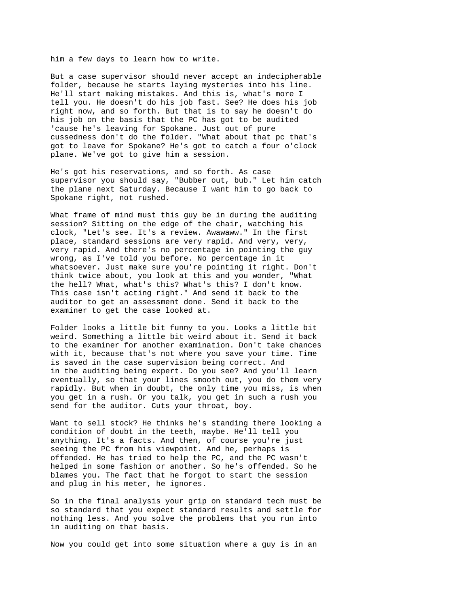him a few days to learn how to write.

But a case supervisor should never accept an indecipherable folder, because he starts laying mysteries into his line. He'll start making mistakes. And this is, what's more I tell you. He doesn't do his job fast. See? He does his job right now, and so forth. But that is to say he doesn't do his job on the basis that the PC has got to be audited 'cause he's leaving for Spokane. Just out of pure cussedness don't do the folder. "What about that pc that's got to leave for Spokane? He's got to catch a four o'clock plane. We've got to give him a session.

He's got his reservations, and so forth. As case supervisor you should say, "Bubber out, bub." Let him catch the plane next Saturday. Because I want him to go back to Spokane right, not rushed.

What frame of mind must this guy be in during the auditing session? Sitting on the edge of the chair, watching his clock, "Let's see. It's a review. Awawaww." In the first place, standard sessions are very rapid. And very, very, very rapid. And there's no percentage in pointing the guy wrong, as I've told you before. No percentage in it whatsoever. Just make sure you're pointing it right. Don't think twice about, you look at this and you wonder, "What the hell? What, what's this? What's this? I don't know. This case isn't acting right." And send it back to the auditor to get an assessment done. Send it back to the examiner to get the case looked at.

Folder looks a little bit funny to you. Looks a little bit weird. Something a little bit weird about it. Send it back to the examiner for another examination. Don't take chances with it, because that's not where you save your time. Time is saved in the case supervision being correct. And in the auditing being expert. Do you see? And you'll learn eventually, so that your lines smooth out, you do them very rapidly. But when in doubt, the only time you miss, is when you get in a rush. Or you talk, you get in such a rush you send for the auditor. Cuts your throat, boy.

Want to sell stock? He thinks he's standing there looking a condition of doubt in the teeth, maybe. He'll tell you anything. It's a facts. And then, of course you're just seeing the PC from his viewpoint. And he, perhaps is offended. He has tried to help the PC, and the PC wasn't helped in some fashion or another. So he's offended. So he blames you. The fact that he forgot to start the session and plug in his meter, he ignores.

So in the final analysis your grip on standard tech must be so standard that you expect standard results and settle for nothing less. And you solve the problems that you run into in auditing on that basis.

Now you could get into some situation where a guy is in an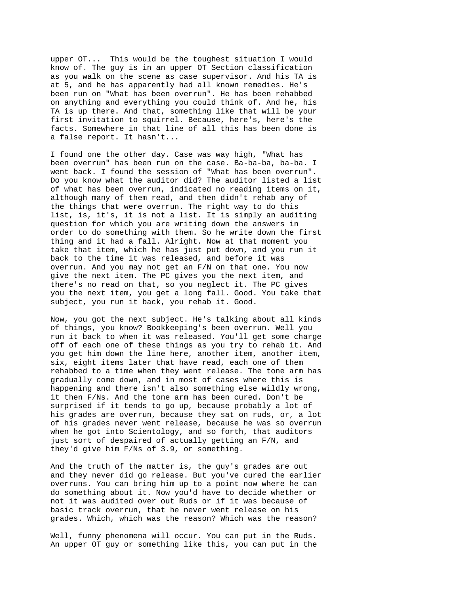upper OT... This would be the toughest situation I would know of. The guy is in an upper OT Section classification as you walk on the scene as case supervisor. And his TA is at 5, and he has apparently had all known remedies. He's been run on "What has been overrun". He has been rehabbed on anything and everything you could think of. And he, his TA is up there. And that, something like that will be your first invitation to squirrel. Because, here's, here's the facts. Somewhere in that line of all this has been done is a false report. It hasn't...

I found one the other day. Case was way high, "What has been overrun" has been run on the case. Ba-ba-ba, ba-ba. I went back. I found the session of "What has been overrun". Do you know what the auditor did? The auditor listed a list of what has been overrun, indicated no reading items on it, although many of them read, and then didn't rehab any of the things that were overrun. The right way to do this list, is, it's, it is not a list. It is simply an auditing question for which you are writing down the answers in order to do something with them. So he write down the first thing and it had a fall. Alright. Now at that moment you take that item, which he has just put down, and you run it back to the time it was released, and before it was overrun. And you may not get an F/N on that one. You now give the next item. The PC gives you the next item, and there's no read on that, so you neglect it. The PC gives you the next item, you get a long fall. Good. You take that subject, you run it back, you rehab it. Good.

Now, you got the next subject. He's talking about all kinds of things, you know? Bookkeeping's been overrun. Well you run it back to when it was released. You'll get some charge off of each one of these things as you try to rehab it. And you get him down the line here, another item, another item, six, eight items later that have read, each one of them rehabbed to a time when they went release. The tone arm has gradually come down, and in most of cases where this is happening and there isn't also something else wildly wrong, it then F/Ns. And the tone arm has been cured. Don't be surprised if it tends to go up, because probably a lot of his grades are overrun, because they sat on ruds, or, a lot of his grades never went release, because he was so overrun when he got into Scientology, and so forth, that auditors just sort of despaired of actually getting an F/N, and they'd give him F/Ns of 3.9, or something.

And the truth of the matter is, the guy's grades are out and they never did go release. But you've cured the earlier overruns. You can bring him up to a point now where he can do something about it. Now you'd have to decide whether or not it was audited over out Ruds or if it was because of basic track overrun, that he never went release on his grades. Which, which was the reason? Which was the reason?

Well, funny phenomena will occur. You can put in the Ruds. An upper OT guy or something like this, you can put in the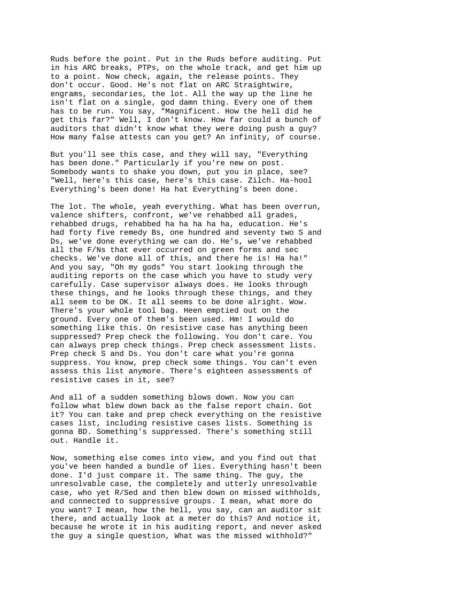Ruds before the point. Put in the Ruds before auditing. Put in his ARC breaks, PTPs, on the whole track, and get him up to a point. Now check, again, the release points. They don't occur. Good. He's not flat on ARC Straightwire, engrams, secondaries, the lot. All the way up the line he isn't flat on a single, god damn thing. Every one of them has to be run. You say, "Magnificent. How the hell did he get this far?" Well, I don't know. How far could a bunch of auditors that didn't know what they were doing push a guy? How many false attests can you get? An infinity, of course.

But you'll see this case, and they will say, "Everything has been done." Particularly if you're new on post. Somebody wants to shake you down, put you in place, see? "Well, here's this case, here's this case. Zilch. Ha-hool Everything's been done! Ha hat Everything's been done.

The lot. The whole, yeah everything. What has been overrun, valence shifters, confront, we've rehabbed all grades, rehabbed drugs, rehabbed ha ha ha ha ha, education. He's had forty five remedy Bs, one hundred and seventy two S and Ds, we've done everything we can do. He's, we've rehabbed all the F/Ns that ever occurred on green forms and sec checks. We've done all of this, and there he is! Ha ha!" And you say, "Oh my gods" You start looking through the auditing reports on the case which you have to study very carefully. Case supervisor always does. He looks through these things, and he looks through these things, and they all seem to be OK. It all seems to be done alright. Wow. There's your whole tool bag. Heen emptied out on the ground. Every one of them's been used. Hm! I would do something like this. On resistive case has anything been suppressed? Prep check the following. You don't care. You can always prep check things. Prep check assessment lists. Prep check S and Ds. You don't care what you're gonna suppress. You know, prep check some things. You can't even assess this list anymore. There's eighteen assessments of resistive cases in it, see?

And all of a sudden something blows down. Now you can follow what blew down back as the false report chain. Got it? You can take and prep check everything on the resistive cases list, including resistive cases lists. Something is gonna BD. Something's suppressed. There's something still out. Handle it.

Now, something else comes into view, and you find out that you've been handed a bundle of lies. Everything hasn't been done. I'd just compare it. The same thing. The guy, the unresolvable case, the completely and utterly unresolvable case, who yet R/Sed and then blew down on missed withholds, and connected to suppressive groups. I mean, what more do you want? I mean, how the hell, you say, can an auditor sit there, and actually look at a meter do this? And notice it, because he wrote it in his auditing report, and never asked the guy a single question, What was the missed withhold?"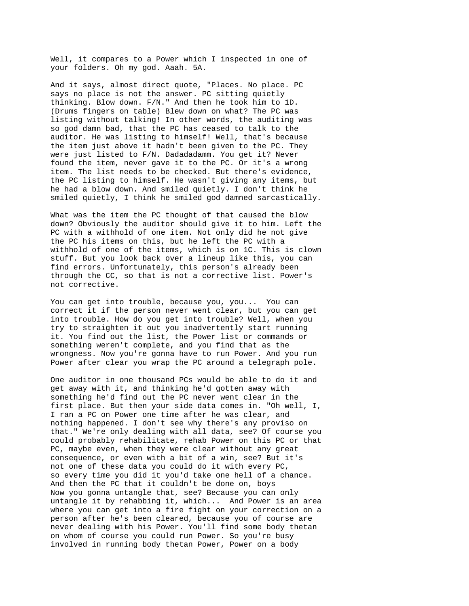Well, it compares to a Power which I inspected in one of your folders. Oh my god. Aaah. 5A.

And it says, almost direct quote, "Places. No place. PC says no place is not the answer. PC sitting quietly thinking. Blow down. F/N." And then he took him to 1D. (Drums fingers on table) Blew down on what? The PC was listing without talking! In other words, the auditing was so god damn bad, that the PC has ceased to talk to the auditor. He was listing to himself! Well, that's because the item just above it hadn't been given to the PC. They were just listed to F/N. Dadadadamm. You get it? Never found the item, never gave it to the PC. Or it's a wrong item. The list needs to be checked. But there's evidence, the PC listing to himself. He wasn't giving any items, but he had a blow down. And smiled quietly. I don't think he smiled quietly, I think he smiled god damned sarcastically.

What was the item the PC thought of that caused the blow down? Obviously the auditor should give it to him. Left the PC with a withhold of one item. Not only did he not give the PC his items on this, but he left the PC with a withhold of one of the items, which is on 1C. This is clown stuff. But you look back over a lineup like this, you can find errors. Unfortunately, this person's already been through the CC, so that is not a corrective list. Power's not corrective.

You can get into trouble, because you, you... You can correct it if the person never went clear, but you can get into trouble. How do you get into trouble? Well, when you try to straighten it out you inadvertently start running it. You find out the list, the Power list or commands or something weren't complete, and you find that as the wrongness. Now you're gonna have to run Power. And you run Power after clear you wrap the PC around a telegraph pole.

One auditor in one thousand PCs would be able to do it and get away with it, and thinking he'd gotten away with something he'd find out the PC never went clear in the first place. But then your side data comes in. "Oh well, I, I ran a PC on Power one time after he was clear, and nothing happened. I don't see why there's any proviso on that." We're only dealing with all data, see? Of course you could probably rehabilitate, rehab Power on this PC or that PC, maybe even, when they were clear without any great consequence, or even with a bit of a win, see? But it's not one of these data you could do it with every PC, so every time you did it you'd take one hell of a chance. And then the PC that it couldn't be done on, boys Now you gonna untangle that, see? Because you can only untangle it by rehabbing it, which... And Power is an area where you can get into a fire fight on your correction on a person after he's been cleared, because you of course are never dealing with his Power. You'll find some body thetan on whom of course you could run Power. So you're busy involved in running body thetan Power, Power on a body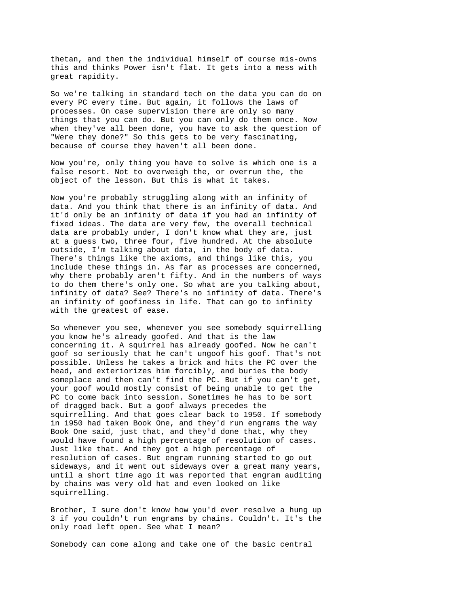thetan, and then the individual himself of course mis-owns this and thinks Power isn't flat. It gets into a mess with great rapidity.

So we're talking in standard tech on the data you can do on every PC every time. But again, it follows the laws of processes. On case supervision there are only so many things that you can do. But you can only do them once. Now when they've all been done, you have to ask the question of "Were they done?" So this gets to be very fascinating, because of course they haven't all been done.

Now you're, only thing you have to solve is which one is a false resort. Not to overweigh the, or overrun the, the object of the lesson. But this is what it takes.

Now you're probably struggling along with an infinity of data. And you think that there is an infinity of data. And it'd only be an infinity of data if you had an infinity of fixed ideas. The data are very few, the overall technical data are probably under, I don't know what they are, just at a guess two, three four, five hundred. At the absolute outside, I'm talking about data, in the body of data. There's things like the axioms, and things like this, you include these things in. As far as processes are concerned, why there probably aren't fifty. And in the numbers of ways to do them there's only one. So what are you talking about, infinity of data? See? There's no infinity of data. There's an infinity of goofiness in life. That can go to infinity with the greatest of ease.

So whenever you see, whenever you see somebody squirrelling you know he's already goofed. And that is the law concerning it. A squirrel has already goofed. Now he can't goof so seriously that he can't ungoof his goof. That's not possible. Unless he takes a brick and hits the PC over the head, and exteriorizes him forcibly, and buries the body someplace and then can't find the PC. But if you can't get, your goof would mostly consist of being unable to get the PC to come back into session. Sometimes he has to be sort of dragged back. But a goof always precedes the squirrelling. And that goes clear back to 1950. If somebody in 1950 had taken Book One, and they'd run engrams the way Book One said, just that, and they'd done that, why they would have found a high percentage of resolution of cases. Just like that. And they got a high percentage of resolution of cases. But engram running started to go out sideways, and it went out sideways over a great many years, until a short time ago it was reported that engram auditing by chains was very old hat and even looked on like squirrelling.

Brother, I sure don't know how you'd ever resolve a hung up 3 if you couldn't run engrams by chains. Couldn't. It's the only road left open. See what I mean?

Somebody can come along and take one of the basic central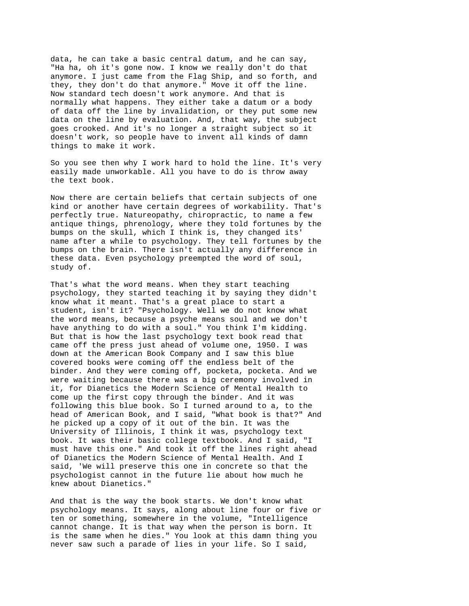data, he can take a basic central datum, and he can say, "Ha ha, oh it's gone now. I know we really don't do that anymore. I just came from the Flag Ship, and so forth, and they, they don't do that anymore." Move it off the line. Now standard tech doesn't work anymore. And that is normally what happens. They either take a datum or a body of data off the line by invalidation, or they put some new data on the line by evaluation. And, that way, the subject goes crooked. And it's no longer a straight subject so it doesn't work, so people have to invent all kinds of damn things to make it work.

So you see then why I work hard to hold the line. It's very easily made unworkable. All you have to do is throw away the text book.

Now there are certain beliefs that certain subjects of one kind or another have certain degrees of workability. That's perfectly true. Natureopathy, chiropractic, to name a few antique things, phrenology, where they told fortunes by the bumps on the skull, which I think is, they changed its' name after a while to psychology. They tell fortunes by the bumps on the brain. There isn't actually any difference in these data. Even psychology preempted the word of soul, study of.

That's what the word means. When they start teaching psychology, they started teaching it by saying they didn't know what it meant. That's a great place to start a student, isn't it? "Psychology. Well we do not know what the word means, because a psyche means soul and we don't have anything to do with a soul." You think I'm kidding. But that is how the last psychology text book read that came off the press just ahead of volume one, 1950. I was down at the American Book Company and I saw this blue covered books were coming off the endless belt of the binder. And they were coming off, pocketa, pocketa. And we were waiting because there was a big ceremony involved in it, for Dianetics the Modern Science of Mental Health to come up the first copy through the binder. And it was following this blue book. So I turned around to a, to the head of American Book, and I said, "What book is that?" And he picked up a copy of it out of the bin. It was the University of Illinois, I think it was, psychology text book. It was their basic college textbook. And I said, "I must have this one." And took it off the lines right ahead of Dianetics the Modern Science of Mental Health. And I said, 'We will preserve this one in concrete so that the psychologist cannot in the future lie about how much he knew about Dianetics."

And that is the way the book starts. We don't know what psychology means. It says, along about line four or five or ten or something, somewhere in the volume, "Intelligence cannot change. It is that way when the person is born. It is the same when he dies." You look at this damn thing you never saw such a parade of lies in your life. So I said,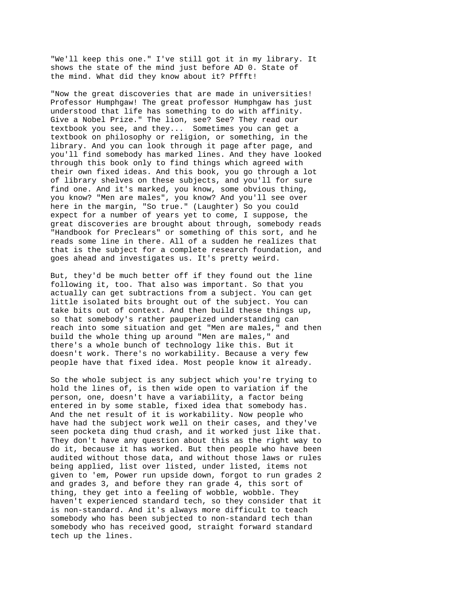"We'll keep this one." I've still got it in my library. It shows the state of the mind just before AD 0. State of the mind. What did they know about it? Pffft!

"Now the great discoveries that are made in universities! Professor Humphgaw! The great professor Humphgaw has just understood that life has something to do with affinity. Give a Nobel Prize." The lion, see? See? They read our textbook you see, and they... Sometimes you can get a textbook on philosophy or religion, or something, in the library. And you can look through it page after page, and you'll find somebody has marked lines. And they have looked through this book only to find things which agreed with their own fixed ideas. And this book, you go through a lot of library shelves on these subjects, and you'll for sure find one. And it's marked, you know, some obvious thing, you know? "Men are males", you know? And you'll see over here in the margin, "So true." (Laughter) So you could expect for a number of years yet to come, I suppose, the great discoveries are brought about through, somebody reads "Handbook for Preclears" or something of this sort, and he reads some line in there. All of a sudden he realizes that that is the subject for a complete research foundation, and goes ahead and investigates us. It's pretty weird.

But, they'd be much better off if they found out the line following it, too. That also was important. So that you actually can get subtractions from a subject. You can get little isolated bits brought out of the subject. You can take bits out of context. And then build these things up, so that somebody's rather pauperized understanding can reach into some situation and get "Men are males," and then build the whole thing up around "Men are males," and there's a whole bunch of technology like this. But it doesn't work. There's no workability. Because a very few people have that fixed idea. Most people know it already.

So the whole subject is any subject which you're trying to hold the lines of, is then wide open to variation if the person, one, doesn't have a variability, a factor being entered in by some stable, fixed idea that somebody has. And the net result of it is workability. Now people who have had the subject work well on their cases, and they've seen pocketa ding thud crash, and it worked just like that. They don't have any question about this as the right way to do it, because it has worked. But then people who have been audited without those data, and without those laws or rules being applied, list over listed, under listed, items not given to 'em, Power run upside down, forgot to run grades 2 and grades 3, and before they ran grade 4, this sort of thing, they get into a feeling of wobble, wobble. They haven't experienced standard tech, so they consider that it is non-standard. And it's always more difficult to teach somebody who has been subjected to non-standard tech than somebody who has received good, straight forward standard tech up the lines.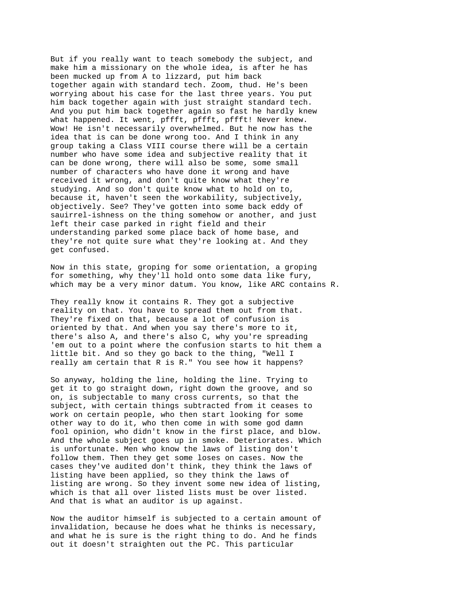But if you really want to teach somebody the subject, and make him a missionary on the whole idea, is after he has been mucked up from A to lizzard, put him back together again with standard tech. Zoom, thud. He's been worrying about his case for the last three years. You put him back together again with just straight standard tech. And you put him back together again so fast he hardly knew what happened. It went, pffft, pffft, pffft! Never knew. Wow! He isn't necessarily overwhelmed. But he now has the idea that is can be done wrong too. And I think in any group taking a Class VIII course there will be a certain number who have some idea and subjective reality that it can be done wrong, there will also be some, some small number of characters who have done it wrong and have received it wrong, and don't quite know what they're studying. And so don't quite know what to hold on to, because it, haven't seen the workability, subjectively, objectively. See? They've gotten into some back eddy of sauirrel-ishness on the thing somehow or another, and just left their case parked in right field and their understanding parked some place back of home base, and they're not quite sure what they're looking at. And they get confused.

Now in this state, groping for some orientation, a groping for something, why they'll hold onto some data like fury, which may be a very minor datum. You know, like ARC contains R.

They really know it contains R. They got a subjective reality on that. You have to spread them out from that. They're fixed on that, because a lot of confusion is oriented by that. And when you say there's more to it, there's also A, and there's also C, why you're spreading 'em out to a point where the confusion starts to hit them a little bit. And so they go back to the thing, "Well I really am certain that R is R." You see how it happens?

So anyway, holding the line, holding the line. Trying to get it to go straight down, right down the groove, and so on, is subjectable to many cross currents, so that the subject, with certain things subtracted from it ceases to work on certain people, who then start looking for some other way to do it, who then come in with some god damn fool opinion, who didn't know in the first place, and blow. And the whole subject goes up in smoke. Deteriorates. Which is unfortunate. Men who know the laws of listing don't follow them. Then they get some loses on cases. Now the cases they've audited don't think, they think the laws of listing have been applied, so they think the laws of listing are wrong. So they invent some new idea of listing, which is that all over listed lists must be over listed. And that is what an auditor is up against.

Now the auditor himself is subjected to a certain amount of invalidation, because he does what he thinks is necessary, and what he is sure is the right thing to do. And he finds out it doesn't straighten out the PC. This particular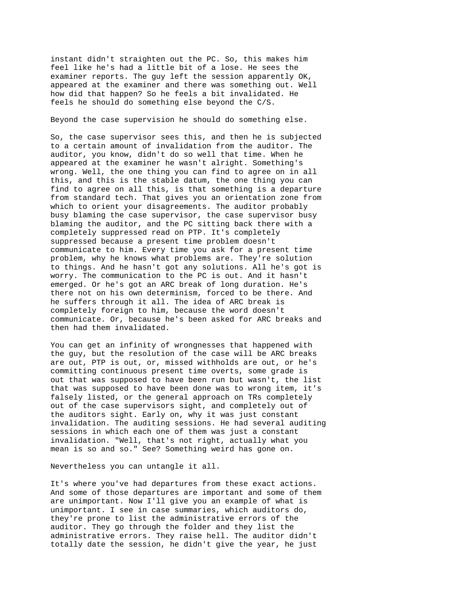instant didn't straighten out the PC. So, this makes him feel like he's had a little bit of a lose. He sees the examiner reports. The guy left the session apparently OK, appeared at the examiner and there was something out. Well how did that happen? So he feels a bit invalidated. He feels he should do something else beyond the C/S.

Beyond the case supervision he should do something else.

So, the case supervisor sees this, and then he is subjected to a certain amount of invalidation from the auditor. The auditor, you know, didn't do so well that time. When he appeared at the examiner he wasn't alright. Something's wrong. Well, the one thing you can find to agree on in all this, and this is the stable datum, the one thing you can find to agree on all this, is that something is a departure from standard tech. That gives you an orientation zone from which to orient your disagreements. The auditor probably busy blaming the case supervisor, the case supervisor busy blaming the auditor, and the PC sitting back there with a completely suppressed read on PTP. It's completely suppressed because a present time problem doesn't communicate to him. Every time you ask for a present time problem, why he knows what problems are. They're solution to things. And he hasn't got any solutions. All he's got is worry. The communication to the PC is out. And it hasn't emerged. Or he's got an ARC break of long duration. He's there not on his own determinism, forced to be there. And he suffers through it all. The idea of ARC break is completely foreign to him, because the word doesn't communicate. Or, because he's been asked for ARC breaks and then had them invalidated.

You can get an infinity of wrongnesses that happened with the guy, but the resolution of the case will be ARC breaks are out, PTP is out, or, missed withholds are out, or he's committing continuous present time overts, some grade is out that was supposed to have been run but wasn't, the list that was supposed to have been done was to wrong item, it's falsely listed, or the general approach on TRs completely out of the case supervisors sight, and completely out of the auditors sight. Early on, why it was just constant invalidation. The auditing sessions. He had several auditing sessions in which each one of them was just a constant invalidation. "Well, that's not right, actually what you mean is so and so." See? Something weird has gone on.

Nevertheless you can untangle it all.

It's where you've had departures from these exact actions. And some of those departures are important and some of them are unimportant. Now I'll give you an example of what is unimportant. I see in case summaries, which auditors do, they're prone to list the administrative errors of the auditor. They go through the folder and they list the administrative errors. They raise hell. The auditor didn't totally date the session, he didn't give the year, he just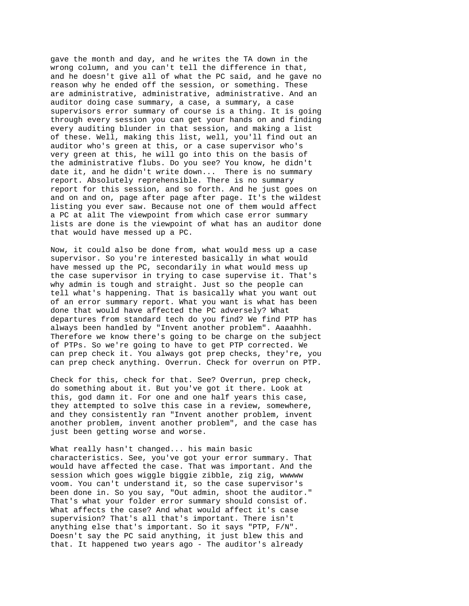gave the month and day, and he writes the TA down in the wrong column, and you can't tell the difference in that, and he doesn't give all of what the PC said, and he gave no reason why he ended off the session, or something. These are administrative, administrative, administrative. And an auditor doing case summary, a case, a summary, a case supervisors error summary of course is a thing. It is going through every session you can get your hands on and finding every auditing blunder in that session, and making a list of these. Well, making this list, well, you'll find out an auditor who's green at this, or a case supervisor who's very green at this, he will go into this on the basis of the administrative flubs. Do you see? You know, he didn't date it, and he didn't write down... There is no summary report. Absolutely reprehensible. There is no summary report for this session, and so forth. And he just goes on and on and on, page after page after page. It's the wildest listing you ever saw. Because not one of them would affect a PC at alit The viewpoint from which case error summary lists are done is the viewpoint of what has an auditor done that would have messed up a PC.

Now, it could also be done from, what would mess up a case supervisor. So you're interested basically in what would have messed up the PC, secondarily in what would mess up the case supervisor in trying to case supervise it. That's why admin is tough and straight. Just so the people can tell what's happening. That is basically what you want out of an error summary report. What you want is what has been done that would have affected the PC adversely? What departures from standard tech do you find? We find PTP has always been handled by "Invent another problem". Aaaahhh. Therefore we know there's going to be charge on the subject of PTPs. So we're going to have to get PTP corrected. We can prep check it. You always got prep checks, they're, you can prep check anything. Overrun. Check for overrun on PTP.

Check for this, check for that. See? Overrun, prep check, do something about it. But you've got it there. Look at this, god damn it. For one and one half years this case, they attempted to solve this case in a review, somewhere, and they consistently ran "Invent another problem, invent another problem, invent another problem", and the case has just been getting worse and worse.

What really hasn't changed... his main basic characteristics. See, you've got your error summary. That would have affected the case. That was important. And the session which goes wiggle biggie zibble, zig zig, wwwww voom. You can't understand it, so the case supervisor's been done in. So you say, "Out admin, shoot the auditor." That's what your folder error summary should consist of. What affects the case? And what would affect it's case supervision? That's all that's important. There isn't anything else that's important. So it says "PTP, F/N". Doesn't say the PC said anything, it just blew this and that. It happened two years ago - The auditor's already